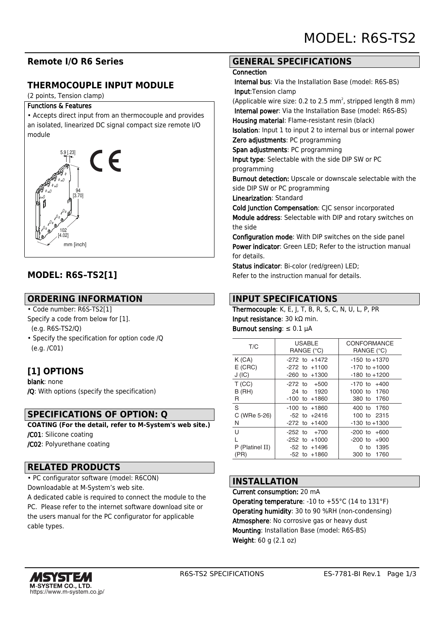## **Remote I/O R6 Series**

## **THERMOCOUPLE INPUT MODULE**

(2 points, Tension clamp)

#### Functions & Features

• Accepts direct input from an thermocouple and provides an isolated, linearized DC signal compact size remote I/O module



# **MODEL: R6S–TS2[1]**

## **ORDERING INFORMATION**

• Code number: R6S-TS2[1]

Specify a code from below for [1].

(e.g. R6S-TS2/Q)

• Specify the specification for option code /Q (e.g. /C01)

## **[1] OPTIONS**

blank: none /Q: With options (specify the specification)

### **SPECIFICATIONS OF OPTION: Q**

**COATING (For the detail, refer to M-System's web site.)** /C01: Silicone coating /C02: Polyurethane coating

### **RELATED PRODUCTS**

• PC configurator software (model: R6CON) Downloadable at M-System's web site.

A dedicated cable is required to connect the module to the PC. Please refer to the internet software download site or the users manual for the PC configurator for applicable cable types.

## **GENERAL SPECIFICATIONS**

#### **Connection**

 Internal bus: Via the Installation Base (model: R6S-BS) Input:Tension clamp

(Applicable wire size: 0.2 to 2.5  $mm<sup>2</sup>$ , stripped length 8  $mm$ ) Internal power: Via the Installation Base (model: R6S-BS) Housing material: Flame-resistant resin (black)

Isolation: Input 1 to input 2 to internal bus or internal power Zero adjustments: PC programming

Span adjustments: PC programming

Input type: Selectable with the side DIP SW or PC programming

Burnout detection: Upscale or downscale selectable with the side DIP SW or PC programming

Linearization: Standard

Cold Junction Compensation: CJC sensor incorporated Module address: Selectable with DIP and rotary switches on the side

Configuration mode: With DIP switches on the side panel Power indicator: Green LED: Refer to the istruction manual for details.

Status indicator: Bi-color (red/green) LED; Refer to the instruction manual for details.

## **INPUT SPECIFICATIONS**

Thermocouple: K, E, J, T, B, R, S, C, N, U, L, P, PR Input resistance: 30 kΩ min. Burnout sensing:  $\leq 0.1$   $\mu$ A

| T/C                | <b>USABLE</b><br>RANGE (°C)            | CONFORMANCE<br>RANGE (°C)              |
|--------------------|----------------------------------------|----------------------------------------|
| K(GA)<br>$E$ (CRC) | $-272$ to $+1472$<br>$-272$ to $+1100$ | $-150$ to $+1370$<br>$-170$ to $+1000$ |
| J(IC)              | $-260$ to $+1300$                      | $-180$ to $+1200$                      |
| T(CC)              | $-272$ to $+500$                       | $-170$ to $+400$                       |
| $B$ (RH)           | 24 to 1920                             | 1000 to 1760                           |
| R                  | $-100$ to $+1860$                      | 380 to 1760                            |
| S                  | $-100$ to $+1860$                      | 400 to 1760                            |
| C (WRe 5-26)       | $-52$ to $+2416$                       | 100 to 2315                            |
| N                  | $-272$ to $+1400$                      | $-130$ to $+1300$                      |
| U                  | $-252$ to $+700$                       | $-200$ to $+600$                       |
| L                  | $-252$ to $+1000$                      | $-200$ to $+900$                       |
| P (Platinel II)    | $-52$ to $+1496$                       | to 1395<br>0                           |
| (PR)               | $-52$ to $+1860$                       | 300 to 1760                            |
|                    |                                        |                                        |

## **INSTALLATION**

Current consumption: 20 mA Operating temperature: -10 to +55°C (14 to 131°F) Operating humidity: 30 to 90 %RH (non-condensing) Atmosphere: No corrosive gas or heavy dust Mounting: Installation Base (model: R6S-BS) Weight: 60 g (2.1 oz)

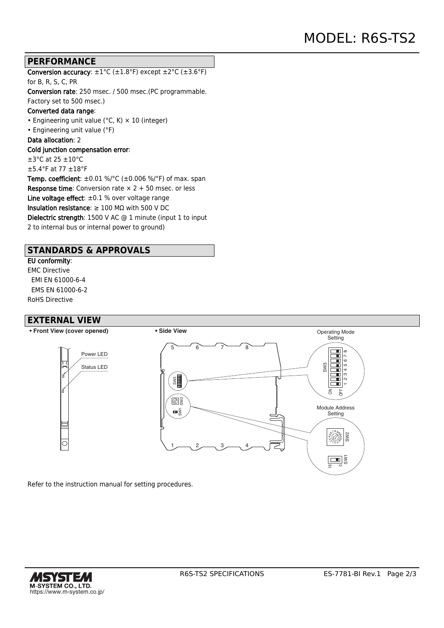### **PERFORMANCE**

Conversion accuracy:  $\pm 1^{\circ}$ C ( $\pm 1.8^{\circ}$ F) except  $\pm 2^{\circ}$ C ( $\pm 3.6^{\circ}$ F) for B, R, S, C, PR Conversion rate: 250 msec. / 500 msec.(PC programmable. Factory set to 500 msec.) Converted data range: • Engineering unit value ( $°C$ , K)  $\times$  10 (integer) • Engineering unit value (°F) Data allocation: 2 Cold junction compensation error: ±3°C at 25 ±10°C  $\pm$ 5.4°F at 77  $\pm$ 18°F **Temp. coefficient**:  $\pm 0.01$  %/°C ( $\pm 0.006$  %/°F) of max. span **Response time:** Conversion rate  $\times$  2 + 50 msec. or less Line voltage effect:  $\pm 0.1$  % over voltage range Insulation resistance:  $\geq 100$  M $\Omega$  with 500 V DC Dielectric strength: 1500 V AC @ 1 minute (input 1 to input 2 to internal bus or internal power to ground)

## **STANDARDS & APPROVALS**

### EU conformity:

EMC Directive EMI EN 61000-6-4 EMS EN 61000-6-2 RoHS Directive

### **EXTERNAL VIEW**



Refer to the instruction manual for setting procedures.